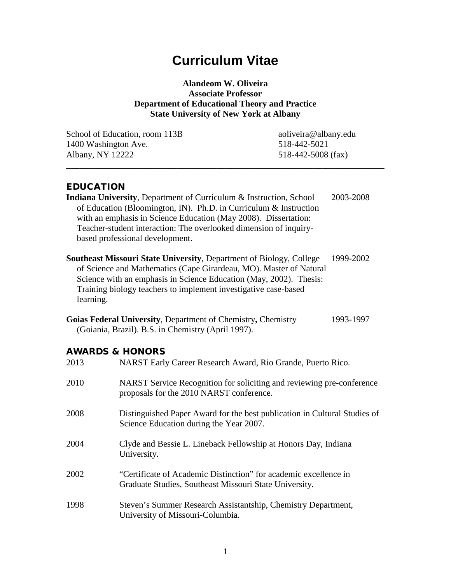# **Curriculum Vitae**

**Alandeom W. Oliveira Associate Professor Department of Educational Theory and Practice State University of New York at Albany**

\_\_\_\_\_\_\_\_\_\_\_\_\_\_\_\_\_\_\_\_\_\_\_\_\_\_\_\_\_\_\_\_\_\_\_\_\_\_\_\_\_\_\_\_\_\_\_\_\_\_\_\_\_\_\_\_\_\_\_\_\_\_\_\_\_\_\_\_\_\_\_\_

School of Education, room 113B aoliveira@albany.edu 1400 Washington Ave. 518-442-5021 Albany, NY 12222 518-442-5008 (fax)

# EDUCATION

**Indiana University**, Department of Curriculum & Instruction, School 2003-2008 of Education (Bloomington, IN). Ph.D. in Curriculum & Instruction with an emphasis in Science Education (May 2008). Dissertation: Teacher-student interaction: The overlooked dimension of inquirybased professional development.

**Southeast Missouri State University**, Department of Biology, College 1999-2002 of Science and Mathematics (Cape Girardeau, MO). Master of Natural Science with an emphasis in Science Education (May, 2002). Thesis: Training biology teachers to implement investigative case-based learning.

| Goias Federal University, Department of Chemistry, Chemistry | 1993-1997 |
|--------------------------------------------------------------|-----------|
| (Goiania, Brazil). B.S. in Chemistry (April 1997).           |           |

# AWARDS & HONORS

| 2013 | NARST Early Career Research Award, Rio Grande, Puerto Rico.                                                                |
|------|----------------------------------------------------------------------------------------------------------------------------|
| 2010 | NARST Service Recognition for soliciting and reviewing pre-conference<br>proposals for the 2010 NARST conference.          |
| 2008 | Distinguished Paper Award for the best publication in Cultural Studies of<br>Science Education during the Year 2007.       |
| 2004 | Clyde and Bessie L. Lineback Fellowship at Honors Day, Indiana<br>University.                                              |
| 2002 | "Certificate of Academic Distinction" for academic excellence in<br>Graduate Studies, Southeast Missouri State University. |
| 1998 | Steven's Summer Research Assistantship, Chemistry Department,<br>University of Missouri-Columbia.                          |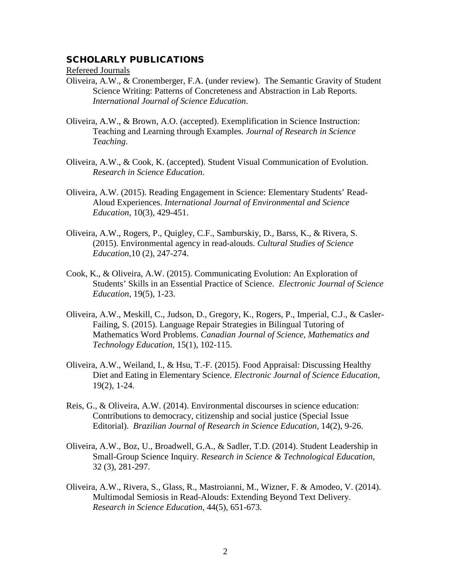## SCHOLARLY PUBLICATIONS

Refereed Journals

- Oliveira, A.W., & Cronemberger, F.A. (under review). The Semantic Gravity of Student Science Writing: Patterns of Concreteness and Abstraction in Lab Reports. *International Journal of Science Education*.
- Oliveira, A.W., & Brown, A.O. (accepted). Exemplification in Science Instruction: Teaching and Learning through Examples. *Journal of Research in Science Teaching*.
- Oliveira, A.W., & Cook, K. (accepted). Student Visual Communication of Evolution. *Research in Science Education*.
- Oliveira, A.W. (2015). Reading Engagement in Science: Elementary Students' Read-Aloud Experiences. *International Journal of Environmental and Science Education*, 10(3), 429-451.
- Oliveira, A.W., Rogers, P., Quigley, C.F., Samburskiy, D., Barss, K., & Rivera, S. (2015). Environmental agency in read-alouds. *Cultural Studies of Science Education,*10 (2), 247-274.
- Cook, K., & Oliveira, A.W. (2015). Communicating Evolution: An Exploration of Students' Skills in an Essential Practice of Science. *Electronic Journal of Science Education*, 19(5), 1-23.
- Oliveira, A.W., Meskill, C., Judson, D., Gregory, K., Rogers, P., Imperial, C.J., & Casler-Failing, S. (2015). Language Repair Strategies in Bilingual Tutoring of Mathematics Word Problems. *Canadian Journal of Science, Mathematics and Technology Education*, 15(1), 102-115.
- Oliveira, A.W., Weiland, I., & Hsu, T.-F. (2015). Food Appraisal: Discussing Healthy Diet and Eating in Elementary Science. *Electronic Journal of Science Education*, 19(2), 1-24.
- Reis, G., & Oliveira, A.W. (2014). Environmental discourses in science education: Contributions to democracy, citizenship and social justice (Special Issue Editorial). *Brazilian Journal of Research in Science Education*, 14(2), 9-26.
- Oliveira, A.W., Boz, U., Broadwell, G.A., & Sadler, T.D. (2014). Student Leadership in Small-Group Science Inquiry. *Research in Science & Technological Education*, 32 (3), 281-297.
- Oliveira, A.W., Rivera, S., Glass, R., Mastroianni, M., Wizner, F. & Amodeo, V. (2014). Multimodal Semiosis in Read-Alouds: Extending Beyond Text Delivery. *Research in Science Education*, 44(5), 651-673.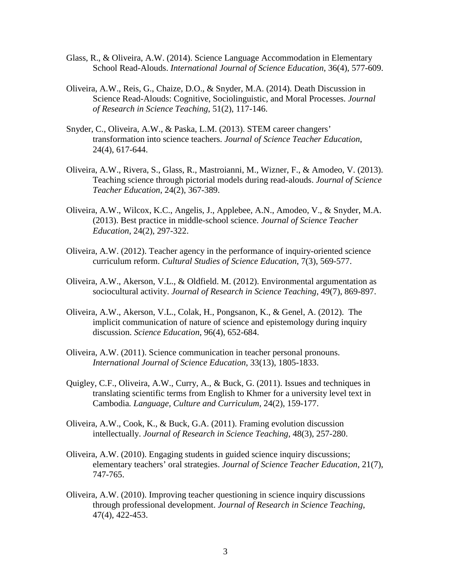- Glass, R., & Oliveira, A.W. (2014). Science Language Accommodation in Elementary School Read-Alouds. *International Journal of Science Education*, 36(4), 577-609.
- Oliveira, A.W., Reis, G., Chaize, D.O., & Snyder, M.A. (2014). Death Discussion in Science Read-Alouds: Cognitive, Sociolinguistic, and Moral Processes. *Journal of Research in Science Teaching*, 51(2), 117-146.
- Snyder, C., Oliveira, A.W., & Paska, L.M. (2013). STEM career changers' transformation into science teachers. *Journal of Science Teacher Education*, 24(4), 617-644.
- Oliveira, A.W., Rivera, S., Glass, R., Mastroianni, M., Wizner, F., & Amodeo, V. (2013). Teaching science through pictorial models during read-alouds. *Journal of Science Teacher Education*, 24(2), 367-389.
- Oliveira, A.W., Wilcox, K.C., Angelis, J., Applebee, A.N., Amodeo, V., & Snyder, M.A. (2013). Best practice in middle-school science. *Journal of Science Teacher Education*, 24(2), 297-322.
- Oliveira, A.W. (2012). Teacher agency in the performance of inquiry-oriented science curriculum reform. *Cultural Studies of Science Education*, 7(3), 569-577.
- Oliveira, A.W., Akerson, V.L., & Oldfield. M. (2012). Environmental argumentation as sociocultural activity. *Journal of Research in Science Teaching*, 49(7), 869-897.
- Oliveira, A.W., Akerson, V.L., Colak, H., Pongsanon, K., & Genel, A. (2012). The implicit communication of nature of science and epistemology during inquiry discussion. *Science Education*, 96(4), 652-684.
- Oliveira, A.W. (2011). Science communication in teacher personal pronouns. *International Journal of Science Education*, 33(13), 1805-1833.
- Quigley, C.F., Oliveira, A.W., Curry, A., & Buck, G. (2011). Issues and techniques in translating scientific terms from English to Khmer for a university level text in Cambodia*. Language, Culture and Curriculum*, 24(2), 159-177.
- Oliveira, A.W., Cook, K., & Buck, G.A. (2011). Framing evolution discussion intellectually. *Journal of Research in Science Teaching*, 48(3), 257-280.
- Oliveira, A.W. (2010). Engaging students in guided science inquiry discussions; elementary teachers' oral strategies. *Journal of Science Teacher Education*, 21(7), 747-765.
- Oliveira, A.W. (2010). Improving teacher questioning in science inquiry discussions through professional development. *Journal of Research in Science Teaching*, 47(4), 422-453.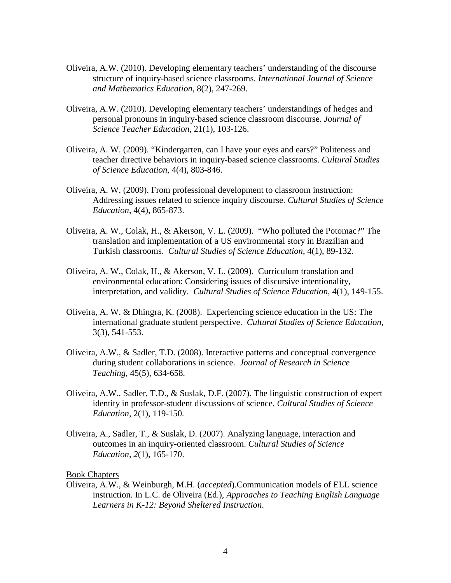- Oliveira, A.W. (2010). Developing elementary teachers' understanding of the discourse structure of inquiry-based science classrooms. *International Journal of Science and Mathematics Education*, 8(2), 247-269.
- Oliveira, A.W. (2010). Developing elementary teachers' understandings of hedges and personal pronouns in inquiry-based science classroom discourse. *Journal of Science Teacher Education*, 21(1), 103-126.
- Oliveira, A. W. (2009). "Kindergarten, can I have your eyes and ears?" Politeness and teacher directive behaviors in inquiry-based science classrooms. *Cultural Studies of Science Education*, 4(4), 803-846.
- Oliveira, A. W. (2009). From professional development to classroom instruction: Addressing issues related to science inquiry discourse. *Cultural Studies of Science Education*, 4(4), 865-873.
- Oliveira, A. W., Colak, H., & Akerson, V. L. (2009). "Who polluted the Potomac?" The translation and implementation of a US environmental story in Brazilian and Turkish classrooms. *Cultural Studies of Science Education*, 4(1), 89-132.
- Oliveira, A. W., Colak, H., & Akerson, V. L. (2009). Curriculum translation and environmental education: Considering issues of discursive intentionality, interpretation, and validity. *Cultural Studies of Science Education*, 4(1), 149-155.
- Oliveira, A. W. & Dhingra, K. (2008). Experiencing science education in the US: The international graduate student perspective. *Cultural Studies of Science Education*, 3(3), 541-553.
- Oliveira, A.W., & Sadler, T.D. (2008). Interactive patterns and conceptual convergence during student collaborations in science. *Journal of Research in Science Teaching*, 45(5), 634-658*.*
- Oliveira, A.W., Sadler, T.D., & Suslak, D.F. (2007). The linguistic construction of expert identity in professor-student discussions of science. *Cultural Studies of Science Education*, 2(1), 119-150*.*
- Oliveira, A., Sadler, T., & Suslak, D. (2007). Analyzing language, interaction and outcomes in an inquiry-oriented classroom. *Cultural Studies of Science Education, 2*(1), 165-170.

#### Book Chapters

Oliveira, A.W., & Weinburgh, M.H. (*accepted*).Communication models of ELL science instruction. In L.C. de Oliveira (Ed.), *Approaches to Teaching English Language Learners in K-12: Beyond Sheltered Instruction*.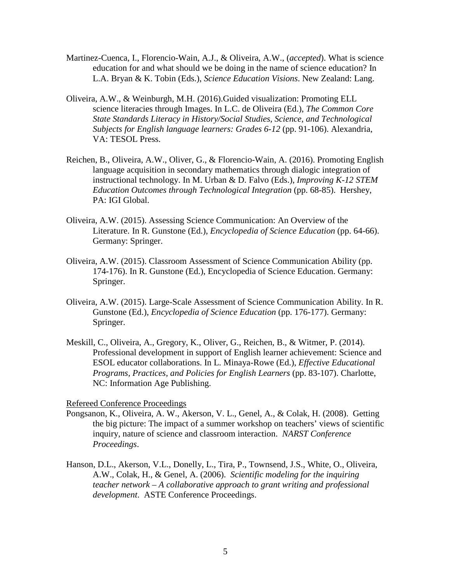- Martinez-Cuenca, I., Florencio-Wain, A.J., & Oliveira, A.W., (*accepted*). What is science education for and what should we be doing in the name of science education? In L.A. Bryan & K. Tobin (Eds.), *Science Education Visions*. New Zealand: Lang.
- Oliveira, A.W., & Weinburgh, M.H. (2016).Guided visualization: Promoting ELL science literacies through Images. In L.C. de Oliveira (Ed.), *The Common Core State Standards Literacy in History/Social Studies, Science, and Technological Subjects for English language learners: Grades 6-12* (pp. 91-106). Alexandria, VA: TESOL Press.
- Reichen, B., Oliveira, A.W., Oliver, G., & Florencio-Wain, A. (2016). Promoting English language acquisition in secondary mathematics through dialogic integration of instructional technology. In M. Urban & D. Falvo (Eds.), *Improving K-12 STEM Education Outcomes through Technological Integration* (pp. 68-85). Hershey, PA: IGI Global.
- Oliveira, A.W. (2015). Assessing Science Communication: An Overview of the Literature. In R. Gunstone (Ed.), *Encyclopedia of Science Education* (pp. 64-66). Germany: Springer.
- Oliveira, A.W. (2015). Classroom Assessment of Science Communication Ability (pp. 174-176). In R. Gunstone (Ed.), Encyclopedia of Science Education. Germany: Springer.
- Oliveira, A.W. (2015). Large-Scale Assessment of Science Communication Ability. In R. Gunstone (Ed.), *Encyclopedia of Science Education* (pp. 176-177). Germany: Springer.
- Meskill, C., Oliveira, A., Gregory, K., Oliver, G., Reichen, B., & Witmer, P. (2014). Professional development in support of English learner achievement: Science and ESOL educator collaborations. In L. Minaya-Rowe (Ed.), *Effective Educational Programs, Practices, and Policies for English Learners* (pp. 83-107). Charlotte, NC: Information Age Publishing.

Refereed Conference Proceedings

- Pongsanon, K., Oliveira, A. W., Akerson, V. L., Genel, A., & Colak, H. (2008). Getting the big picture: The impact of a summer workshop on teachers' views of scientific inquiry, nature of science and classroom interaction. *NARST Conference Proceedings*.
- Hanson, D.L., Akerson, V.L., Donelly, L., Tira, P., Townsend, J.S., White, O., Oliveira, A.W., Colak, H., & Genel, A. (2006). *Scientific modeling for the inquiring teacher network – A collaborative approach to grant writing and professional development*. ASTE Conference Proceedings.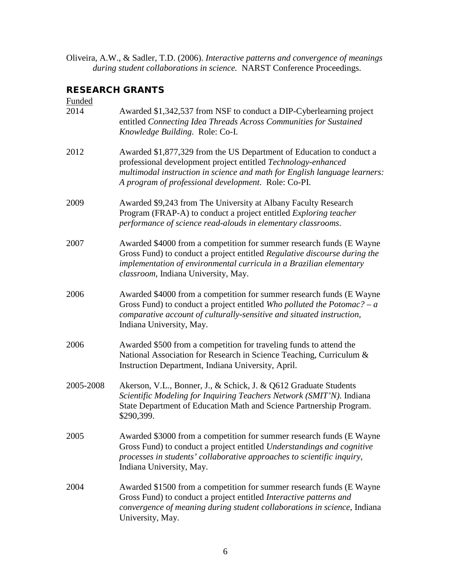Oliveira, A.W., & Sadler, T.D. (2006). *Interactive patterns and convergence of meanings during student collaborations in science.* NARST Conference Proceedings.

# RESEARCH GRANTS

| Funded    |                                                                                                                                                                                                                                                                           |
|-----------|---------------------------------------------------------------------------------------------------------------------------------------------------------------------------------------------------------------------------------------------------------------------------|
| 2014      | Awarded \$1,342,537 from NSF to conduct a DIP-Cyberlearning project<br>entitled Connecting Idea Threads Across Communities for Sustained<br>Knowledge Building. Role: Co-I.                                                                                               |
| 2012      | Awarded \$1,877,329 from the US Department of Education to conduct a<br>professional development project entitled Technology-enhanced<br>multimodal instruction in science and math for English language learners:<br>A program of professional development. Role: Co-PI. |
| 2009      | Awarded \$9,243 from The University at Albany Faculty Research<br>Program (FRAP-A) to conduct a project entitled <i>Exploring teacher</i><br>performance of science read-alouds in elementary classrooms.                                                                 |
| 2007      | Awarded \$4000 from a competition for summer research funds (E Wayne<br>Gross Fund) to conduct a project entitled Regulative discourse during the<br>implementation of environmental curricula in a Brazilian elementary<br>classroom, Indiana University, May.           |
| 2006      | Awarded \$4000 from a competition for summer research funds (E Wayne<br>Gross Fund) to conduct a project entitled Who polluted the Potomac? – $a$<br>comparative account of culturally-sensitive and situated instruction,<br>Indiana University, May.                    |
| 2006      | Awarded \$500 from a competition for traveling funds to attend the<br>National Association for Research in Science Teaching, Curriculum &<br>Instruction Department, Indiana University, April.                                                                           |
| 2005-2008 | Akerson, V.L., Bonner, J., & Schick, J. & Q612 Graduate Students<br>Scientific Modeling for Inquiring Teachers Network (SMIT'N). Indiana<br>State Department of Education Math and Science Partnership Program.<br>\$290,399.                                             |
| 2005      | Awarded \$3000 from a competition for summer research funds (E Wayne<br>Gross Fund) to conduct a project entitled Understandings and cognitive<br>processes in students' collaborative approaches to scientific inquiry,<br>Indiana University, May.                      |
| 2004      | Awarded \$1500 from a competition for summer research funds (E Wayne<br>Gross Fund) to conduct a project entitled Interactive patterns and<br>convergence of meaning during student collaborations in science, Indiana<br>University, May.                                |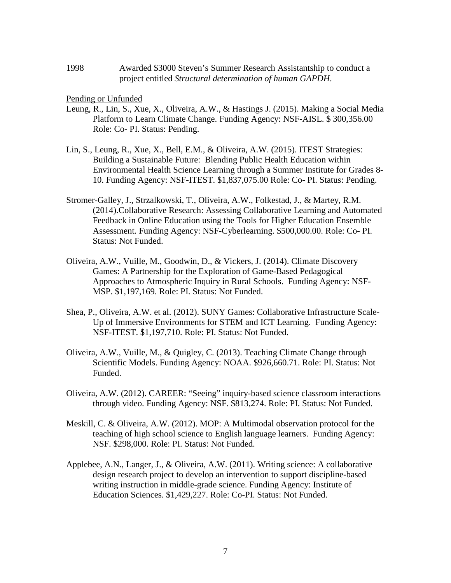1998 Awarded \$3000 Steven's Summer Research Assistantship to conduct a project entitled *Structural determination of human GAPDH*.

Pending or Unfunded

- Leung, R., Lin, S., Xue, X., Oliveira, A.W., & Hastings J. (2015). Making a Social Media Platform to Learn Climate Change. Funding Agency: NSF-AISL. \$ 300,356.00 Role: Co- PI. Status: Pending.
- Lin, S., Leung, R., Xue, X., Bell, E.M., & Oliveira, A.W. (2015). ITEST Strategies: Building a Sustainable Future: Blending Public Health Education within Environmental Health Science Learning through a Summer Institute for Grades 8- 10. Funding Agency: NSF-ITEST. \$1,837,075.00 Role: Co- PI. Status: Pending.
- Stromer-Galley, J., Strzalkowski, T., Oliveira, A.W., Folkestad, J., & Martey, R.M. (2014).Collaborative Research: Assessing Collaborative Learning and Automated Feedback in Online Education using the Tools for Higher Education Ensemble Assessment. Funding Agency: NSF-Cyberlearning. \$500,000.00. Role: Co- PI. Status: Not Funded.
- Oliveira, A.W., Vuille, M., Goodwin, D., & Vickers, J. (2014). Climate Discovery Games: A Partnership for the Exploration of Game-Based Pedagogical Approaches to Atmospheric Inquiry in Rural Schools. Funding Agency: NSF-MSP. \$1,197,169. Role: PI. Status: Not Funded.
- Shea, P., Oliveira, A.W. et al. (2012). SUNY Games: Collaborative Infrastructure Scale-Up of Immersive Environments for STEM and ICT Learning. Funding Agency: NSF-ITEST. \$1,197,710. Role: PI. Status: Not Funded.
- Oliveira, A.W., Vuille, M., & Quigley, C. (2013). Teaching Climate Change through Scientific Models. Funding Agency: NOAA. \$926,660.71. Role: PI. Status: Not Funded.
- Oliveira, A.W. (2012). CAREER: "Seeing" inquiry-based science classroom interactions through video. Funding Agency: NSF. \$813,274. Role: PI. Status: Not Funded.
- Meskill, C. & Oliveira, A.W. (2012). MOP: A Multimodal observation protocol for the teaching of high school science to English language learners. Funding Agency: NSF. \$298,000. Role: PI. Status: Not Funded.
- Applebee, A.N., Langer, J., & Oliveira, A.W. (2011). Writing science: A collaborative design research project to develop an intervention to support discipline-based writing instruction in middle-grade science. Funding Agency: Institute of Education Sciences. \$1,429,227. Role: Co-PI. Status: Not Funded.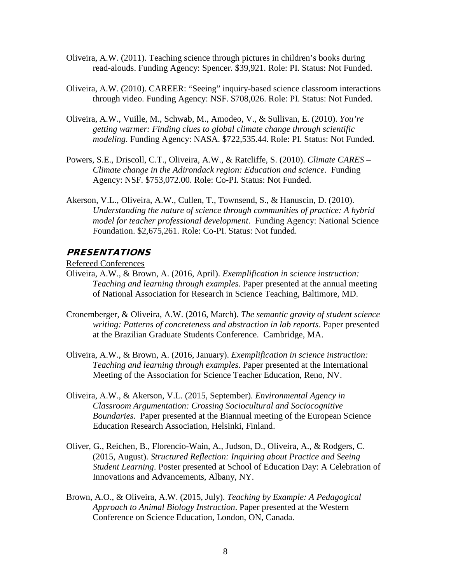- Oliveira, A.W. (2011). Teaching science through pictures in children's books during read-alouds. Funding Agency: Spencer. \$39,921. Role: PI. Status: Not Funded.
- Oliveira, A.W. (2010). CAREER: "Seeing" inquiry-based science classroom interactions through video. Funding Agency: NSF. \$708,026. Role: PI. Status: Not Funded.
- Oliveira, A.W., Vuille, M., Schwab, M., Amodeo, V., & Sullivan, E. (2010). *You're getting warmer: Finding clues to global climate change through scientific modeling*. Funding Agency: NASA. \$722,535.44. Role: PI. Status: Not Funded.
- Powers, S.E., Driscoll, C.T., Oliveira, A.W., & Ratcliffe, S. (2010). *Climate CARES – Climate change in the Adirondack region: Education and science*. Funding Agency: NSF. \$753,072.00. Role: Co-PI. Status: Not Funded.
- Akerson, V.L., Oliveira, A.W., Cullen, T., Townsend, S., & Hanuscin, D. (2010). *Understanding the nature of science through communities of practice: A hybrid model for teacher professional development*. Funding Agency: National Science Foundation. \$2,675,261. Role: Co-PI. Status: Not funded.

#### PRESENTATIONS

Refereed Conferences

- Oliveira, A.W., & Brown, A. (2016, April). *Exemplification in science instruction: Teaching and learning through examples*. Paper presented at the annual meeting of National Association for Research in Science Teaching, Baltimore, MD.
- Cronemberger, & Oliveira, A.W. (2016, March). *The semantic gravity of student science writing: Patterns of concreteness and abstraction in lab reports*. Paper presented at the Brazilian Graduate Students Conference. Cambridge, MA.
- Oliveira, A.W., & Brown, A. (2016, January). *Exemplification in science instruction: Teaching and learning through examples*. Paper presented at the International Meeting of the Association for Science Teacher Education, Reno, NV.
- Oliveira, A.W., & Akerson, V.L. (2015, September). *Environmental Agency in Classroom Argumentation: Crossing Sociocultural and Sociocognitive Boundaries*. Paper presented at the Biannual meeting of the European Science Education Research Association, Helsinki, Finland.
- Oliver, G., Reichen, B., Florencio-Wain, A., Judson, D., Oliveira, A., & Rodgers, C. (2015, August). *Structured Reflection: Inquiring about Practice and Seeing Student Learning*. Poster presented at School of Education Day: A Celebration of Innovations and Advancements, Albany, NY.
- Brown, A.O., & Oliveira, A.W. (2015, July). *Teaching by Example: A Pedagogical Approach to Animal Biology Instruction*. Paper presented at the Western Conference on Science Education, London, ON, Canada.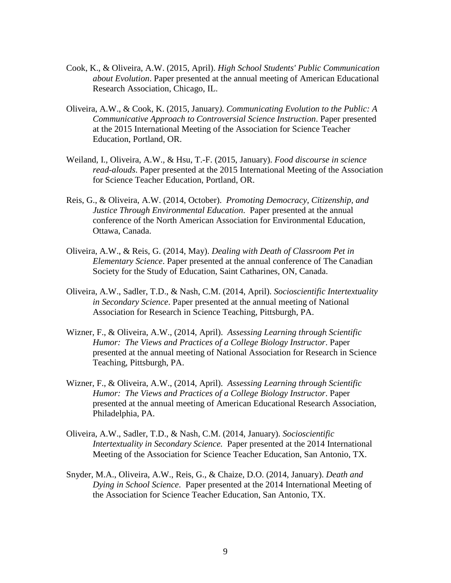- Cook, K., & Oliveira, A.W. (2015, April). *High School Students' Public Communication about Evolution*. Paper presented at the annual meeting of American Educational Research Association, Chicago, IL.
- Oliveira, A.W., & Cook, K. (2015, January*). Communicating Evolution to the Public: A Communicative Approach to Controversial Science Instruction*. Paper presented at the 2015 International Meeting of the Association for Science Teacher Education, Portland, OR.
- Weiland, I., Oliveira, A.W., & Hsu, T.-F. (2015, January). *Food discourse in science read-alouds*. Paper presented at the 2015 International Meeting of the Association for Science Teacher Education, Portland, OR.
- Reis, G., & Oliveira, A.W. (2014, October). *Promoting Democracy, Citizenship, and Justice Through Environmental Education*. Paper presented at the annual conference of the North American Association for Environmental Education, Ottawa, Canada.
- Oliveira, A.W., & Reis, G. (2014, May). *Dealing with Death of Classroom Pet in Elementary Science*. Paper presented at the annual conference of The Canadian Society for the Study of Education, Saint Catharines, ON, Canada.
- Oliveira, A.W., Sadler, T.D., & Nash, C.M. (2014, April). *Socioscientific Intertextuality in Secondary Science*. Paper presented at the annual meeting of National Association for Research in Science Teaching, Pittsburgh, PA.
- Wizner, F., & Oliveira, A.W., (2014, April). *Assessing Learning through Scientific Humor: The Views and Practices of a College Biology Instructor*. Paper presented at the annual meeting of National Association for Research in Science Teaching, Pittsburgh, PA.
- Wizner, F., & Oliveira, A.W., (2014, April). *Assessing Learning through Scientific Humor: The Views and Practices of a College Biology Instructor*. Paper presented at the annual meeting of American Educational Research Association, Philadelphia, PA.
- Oliveira, A.W., Sadler, T.D., & Nash, C.M. (2014, January). *Socioscientific Intertextuality in Secondary Science.* Paper presented at the 2014 International Meeting of the Association for Science Teacher Education, San Antonio, TX.
- Snyder, M.A., Oliveira, A.W., Reis, G., & Chaize, D.O. (2014, January). *Death and Dying in School Science*. Paper presented at the 2014 International Meeting of the Association for Science Teacher Education, San Antonio, TX.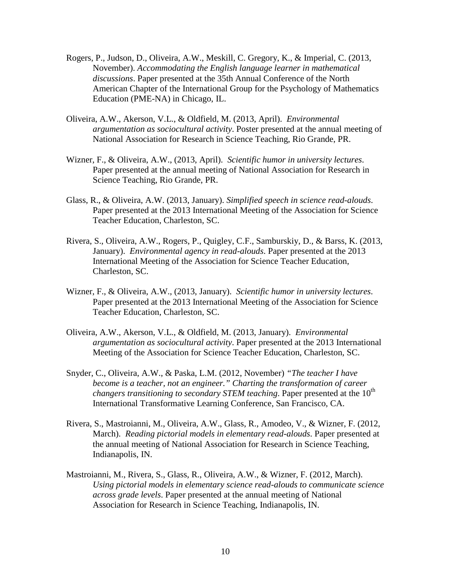- Rogers, P., Judson, D., Oliveira, A.W., Meskill, C. Gregory, K., & Imperial, C. (2013, November). *Accommodating the English language learner in mathematical discussions*. Paper presented at the 35th Annual Conference of the North American Chapter of the International Group for the Psychology of Mathematics Education (PME-NA) in Chicago, IL.
- Oliveira, A.W., Akerson, V.L., & Oldfield, M. (2013, April). *Environmental argumentation as sociocultural activity*. Poster presented at the annual meeting of National Association for Research in Science Teaching, Rio Grande, PR.
- Wizner, F., & Oliveira, A.W., (2013, April). *Scientific humor in university lectures*. Paper presented at the annual meeting of National Association for Research in Science Teaching, Rio Grande, PR.
- Glass, R., & Oliveira, A.W. (2013, January). *Simplified speech in science read-alouds*. Paper presented at the 2013 International Meeting of the Association for Science Teacher Education, Charleston, SC.
- Rivera, S., Oliveira, A.W., Rogers, P., Quigley, C.F., Samburskiy, D., & Barss, K. (2013, January). *Environmental agency in read-alouds*. Paper presented at the 2013 International Meeting of the Association for Science Teacher Education, Charleston, SC.
- Wizner, F., & Oliveira, A.W., (2013, January). *Scientific humor in university lectures*. Paper presented at the 2013 International Meeting of the Association for Science Teacher Education, Charleston, SC.
- Oliveira, A.W., Akerson, V.L., & Oldfield, M. (2013, January). *Environmental argumentation as sociocultural activity*. Paper presented at the 2013 International Meeting of the Association for Science Teacher Education, Charleston, SC.
- Snyder, C., Oliveira, A.W., & Paska, L.M. (2012, November) *"The teacher I have become is a teacher, not an engineer." Charting the transformation of career changers transitioning to secondary STEM teaching*. Paper presented at the 10<sup>th</sup> International Transformative Learning Conference, San Francisco, CA.
- Rivera, S., Mastroianni, M., Oliveira, A.W., Glass, R., Amodeo, V., & Wizner, F. (2012, March). *Reading pictorial models in elementary read-alouds*. Paper presented at the annual meeting of National Association for Research in Science Teaching, Indianapolis, IN.
- Mastroianni, M., Rivera, S., Glass, R., Oliveira, A.W., & Wizner, F. (2012, March). *Using pictorial models in elementary science read-alouds to communicate science across grade levels*. Paper presented at the annual meeting of National Association for Research in Science Teaching, Indianapolis, IN.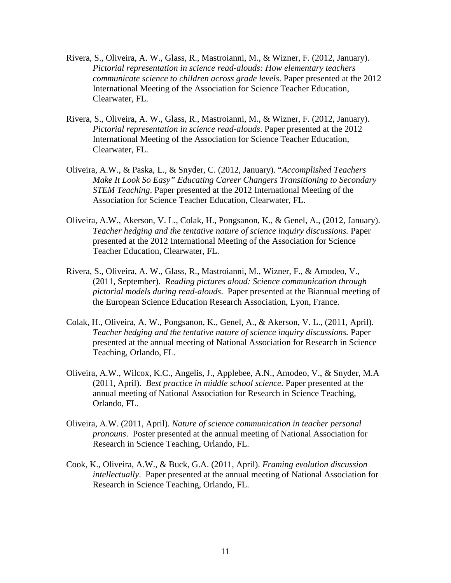- Rivera, S., Oliveira, A. W., Glass, R., Mastroianni, M., & Wizner, F. (2012, January). *Pictorial representation in science read-alouds: How elementary teachers communicate science to children across grade levels*. Paper presented at the 2012 International Meeting of the Association for Science Teacher Education, Clearwater, FL.
- Rivera, S., Oliveira, A. W., Glass, R., Mastroianni, M., & Wizner, F. (2012, January). *Pictorial representation in science read-alouds*. Paper presented at the 2012 International Meeting of the Association for Science Teacher Education, Clearwater, FL.
- Oliveira, A.W., & Paska, L., & Snyder, C. (2012, January). "*Accomplished Teachers Make It Look So Easy" Educating Career Changers Transitioning to Secondary STEM Teaching*. Paper presented at the 2012 International Meeting of the Association for Science Teacher Education, Clearwater, FL.
- Oliveira, A.W., Akerson, V. L., Colak, H., Pongsanon, K., & Genel, A., (2012, January). *Teacher hedging and the tentative nature of science inquiry discussions.* Paper presented at the 2012 International Meeting of the Association for Science Teacher Education, Clearwater, FL.
- Rivera, S., Oliveira, A. W., Glass, R., Mastroianni, M., Wizner, F., & Amodeo, V., (2011, September). *Reading pictures aloud: Science communication through pictorial models during read-alouds*. Paper presented at the Biannual meeting of the European Science Education Research Association, Lyon, France.
- Colak, H., Oliveira, A. W., Pongsanon, K., Genel, A., & Akerson, V. L., (2011, April). *Teacher hedging and the tentative nature of science inquiry discussions.* Paper presented at the annual meeting of National Association for Research in Science Teaching, Orlando, FL.
- Oliveira, A.W., Wilcox, K.C., Angelis, J., Applebee, A.N., Amodeo, V., & Snyder, M.A (2011, April). *Best practice in middle school science*. Paper presented at the annual meeting of National Association for Research in Science Teaching, Orlando, FL.
- Oliveira, A.W. (2011, April). *Nature of science communication in teacher personal pronouns*. Poster presented at the annual meeting of National Association for Research in Science Teaching, Orlando, FL.
- Cook, K., Oliveira, A.W., & Buck, G.A. (2011, April). *Framing evolution discussion intellectually*. Paper presented at the annual meeting of National Association for Research in Science Teaching, Orlando, FL.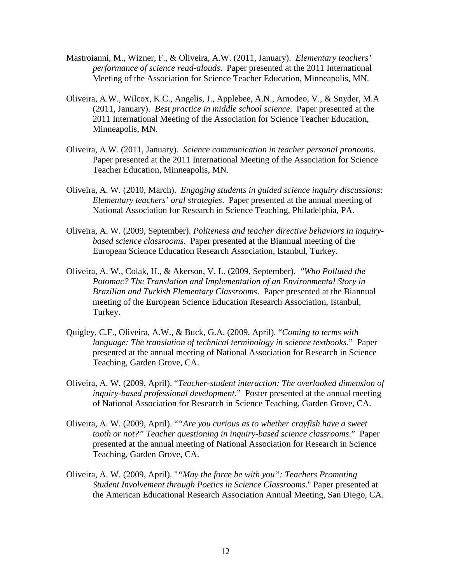- Mastroianni, M., Wizner, F., & Oliveira, A.W. (2011, January). *Elementary teachers' performance of science read-alouds*. Paper presented at the 2011 International Meeting of the Association for Science Teacher Education, Minneapolis, MN.
- Oliveira, A.W., Wilcox, K.C., Angelis, J., Applebee, A.N., Amodeo, V., & Snyder, M.A (2011, January). *Best practice in middle school science*. Paper presented at the 2011 International Meeting of the Association for Science Teacher Education, Minneapolis, MN.
- Oliveira, A.W. (2011, January). *Science communication in teacher personal pronouns*. Paper presented at the 2011 International Meeting of the Association for Science Teacher Education, Minneapolis, MN.
- Oliveira, A. W. (2010, March). *Engaging students in guided science inquiry discussions: Elementary teachers' oral strategies*. Paper presented at the annual meeting of National Association for Research in Science Teaching, Philadelphia, PA.
- Oliveira, A. W. (2009, September). *Politeness and teacher directive behaviors in inquirybased science classrooms*. Paper presented at the Biannual meeting of the European Science Education Research Association, Istanbul, Turkey.
- Oliveira, A. W., Colak, H., & Akerson, V. L. (2009, September). *"Who Polluted the Potomac? The Translation and Implementation of an Environmental Story in Brazilian and Turkish Elementary Classrooms*. Paper presented at the Biannual meeting of the European Science Education Research Association, Istanbul, Turkey.
- Quigley, C.F., Oliveira, A.W., & Buck, G.A. (2009, April). "*Coming to terms with language: The translation of technical terminology in science textbooks*." Paper presented at the annual meeting of National Association for Research in Science Teaching, Garden Grove, CA.
- Oliveira, A. W. (2009, April). "*Teacher-student interaction: The overlooked dimension of inquiry-based professional development*." Poster presented at the annual meeting of National Association for Research in Science Teaching, Garden Grove, CA.
- Oliveira, A. W. (2009, April). "*"Are you curious as to whether crayfish have a sweet tooth or not?" Teacher questioning in inquiry-based science classrooms*." Paper presented at the annual meeting of National Association for Research in Science Teaching, Garden Grove, CA.
- Oliveira, A. W. (2009, April). "*"May the force be with you": Teachers Promoting Student Involvement through Poetics in Science Classrooms*." Paper presented at the American Educational Research Association Annual Meeting, San Diego, CA.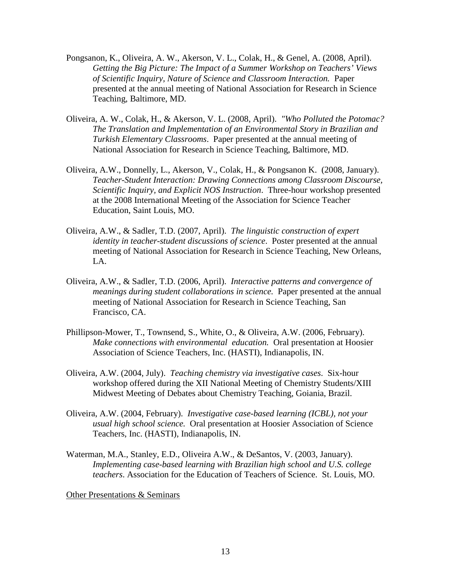- Pongsanon, K., Oliveira, A. W., Akerson, V. L., Colak, H., & Genel, A. (2008, April). *Getting the Big Picture: The Impact of a Summer Workshop on Teachers' Views of Scientific Inquiry, Nature of Science and Classroom Interaction.* Paper presented at the annual meeting of National Association for Research in Science Teaching, Baltimore, MD.
- Oliveira, A. W., Colak, H., & Akerson, V. L. (2008, April). *"Who Polluted the Potomac? The Translation and Implementation of an Environmental Story in Brazilian and Turkish Elementary Classrooms*. Paper presented at the annual meeting of National Association for Research in Science Teaching, Baltimore, MD.
- Oliveira, A.W., Donnelly, L., Akerson, V., Colak, H., & Pongsanon K. (2008, January). *Teacher-Student Interaction: Drawing Connections among Classroom Discourse, Scientific Inquiry, and Explicit NOS Instruction*. Three-hour workshop presented at the 2008 International Meeting of the Association for Science Teacher Education, Saint Louis, MO.
- Oliveira, A.W., & Sadler, T.D. (2007, April). *The linguistic construction of expert identity in teacher-student discussions of science*. Poster presented at the annual meeting of National Association for Research in Science Teaching, New Orleans, LA.
- Oliveira, A.W., & Sadler, T.D. (2006, April). *Interactive patterns and convergence of meanings during student collaborations in science.* Paper presented at the annual meeting of National Association for Research in Science Teaching, San Francisco, CA.
- Phillipson-Mower, T., Townsend, S., White, O., & Oliveira, A.W. (2006, February). *Make connections with environmental education.* Oral presentation at Hoosier Association of Science Teachers, Inc. (HASTI), Indianapolis, IN.
- Oliveira, A.W. (2004, July). *Teaching chemistry via investigative cases*. Six-hour workshop offered during the XII National Meeting of Chemistry Students/XIII Midwest Meeting of Debates about Chemistry Teaching, Goiania, Brazil.
- Oliveira, A.W. (2004, February). *Investigative case-based learning (ICBL), not your usual high school science.* Oral presentation at Hoosier Association of Science Teachers, Inc. (HASTI), Indianapolis, IN.
- Waterman, M.A., Stanley, E.D., Oliveira A.W., & DeSantos, V. (2003, January). *Implementing case-based learning with Brazilian high school and U.S. college teachers*. Association for the Education of Teachers of Science. St. Louis, MO.

Other Presentations & Seminars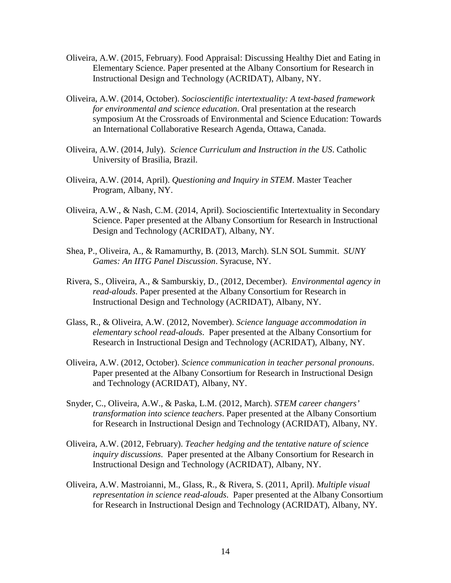- Oliveira, A.W. (2015, February). Food Appraisal: Discussing Healthy Diet and Eating in Elementary Science. Paper presented at the Albany Consortium for Research in Instructional Design and Technology (ACRIDAT), Albany, NY.
- Oliveira, A.W. (2014, October). *Socioscientific intertextuality: A text-based framework for environmental and science education*. Oral presentation at the research symposium At the Crossroads of Environmental and Science Education: Towards an International Collaborative Research Agenda, Ottawa, Canada.
- Oliveira, A.W. (2014, July). *Science Curriculum and Instruction in the US*. Catholic University of Brasilia, Brazil.
- Oliveira, A.W. (2014, April). *Questioning and Inquiry in STEM*. Master Teacher Program, Albany, NY.
- Oliveira, A.W., & Nash, C.M. (2014, April). Socioscientific Intertextuality in Secondary Science. Paper presented at the Albany Consortium for Research in Instructional Design and Technology (ACRIDAT), Albany, NY.
- Shea, P., Oliveira, A., & Ramamurthy, B. (2013, March). SLN SOL Summit. *SUNY Games: An IITG Panel Discussion*. Syracuse, NY.
- Rivera, S., Oliveira, A., & Samburskiy, D., (2012, December). *Environmental agency in read-alouds*. Paper presented at the Albany Consortium for Research in Instructional Design and Technology (ACRIDAT), Albany, NY.
- Glass, R., & Oliveira, A.W. (2012, November). *Science language accommodation in elementary school read-alouds*. Paper presented at the Albany Consortium for Research in Instructional Design and Technology (ACRIDAT), Albany, NY.
- Oliveira, A.W. (2012, October). *Science communication in teacher personal pronouns*. Paper presented at the Albany Consortium for Research in Instructional Design and Technology (ACRIDAT), Albany, NY.
- Snyder, C., Oliveira, A.W., & Paska, L.M. (2012, March). *STEM career changers' transformation into science teachers*. Paper presented at the Albany Consortium for Research in Instructional Design and Technology (ACRIDAT), Albany, NY.
- Oliveira, A.W. (2012, February). *Teacher hedging and the tentative nature of science inquiry discussions*. Paper presented at the Albany Consortium for Research in Instructional Design and Technology (ACRIDAT), Albany, NY.
- Oliveira, A.W. Mastroianni, M., Glass, R., & Rivera, S. (2011, April). *Multiple visual representation in science read-alouds*. Paper presented at the Albany Consortium for Research in Instructional Design and Technology (ACRIDAT), Albany, NY.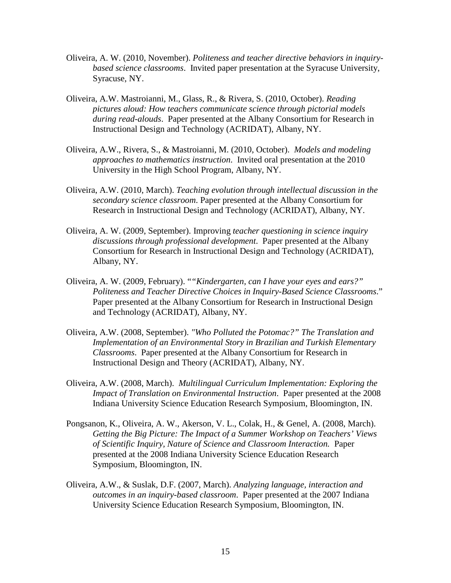- Oliveira, A. W. (2010, November). *Politeness and teacher directive behaviors in inquirybased science classrooms*. Invited paper presentation at the Syracuse University, Syracuse, NY.
- Oliveira, A.W. Mastroianni, M., Glass, R., & Rivera, S. (2010, October). *Reading pictures aloud: How teachers communicate science through pictorial models during read-alouds*. Paper presented at the Albany Consortium for Research in Instructional Design and Technology (ACRIDAT), Albany, NY.
- Oliveira, A.W., Rivera, S., & Mastroianni, M. (2010, October). *Models and modeling approaches to mathematics instruction*. Invited oral presentation at the 2010 University in the High School Program, Albany, NY.
- Oliveira, A.W. (2010, March). *Teaching evolution through intellectual discussion in the secondary science classroom*. Paper presented at the Albany Consortium for Research in Instructional Design and Technology (ACRIDAT), Albany, NY.
- Oliveira, A. W. (2009, September). Improving *teacher questioning in science inquiry discussions through professional development*. Paper presented at the Albany Consortium for Research in Instructional Design and Technology (ACRIDAT), Albany, NY.
- Oliveira, A. W. (2009, February). "*"Kindergarten, can I have your eyes and ears?" Politeness and Teacher Directive Choices in Inquiry-Based Science Classrooms*." Paper presented at the Albany Consortium for Research in Instructional Design and Technology (ACRIDAT), Albany, NY.
- Oliveira, A.W. (2008, September). *"Who Polluted the Potomac?" The Translation and Implementation of an Environmental Story in Brazilian and Turkish Elementary Classrooms*. Paper presented at the Albany Consortium for Research in Instructional Design and Theory (ACRIDAT), Albany, NY.
- Oliveira, A.W. (2008, March). *Multilingual Curriculum Implementation: Exploring the Impact of Translation on Environmental Instruction*. Paper presented at the 2008 Indiana University Science Education Research Symposium, Bloomington, IN.
- Pongsanon, K., Oliveira, A. W., Akerson, V. L., Colak, H., & Genel, A. (2008, March). *Getting the Big Picture: The Impact of a Summer Workshop on Teachers' Views of Scientific Inquiry, Nature of Science and Classroom Interaction.* Paper presented at the 2008 Indiana University Science Education Research Symposium, Bloomington, IN.
- Oliveira, A.W., & Suslak, D.F. (2007, March). *Analyzing language, interaction and outcomes in an inquiry-based classroom*. Paper presented at the 2007 Indiana University Science Education Research Symposium, Bloomington, IN.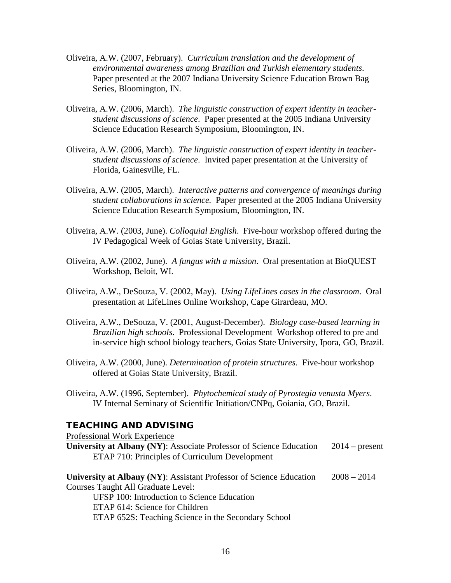- Oliveira, A.W. (2007, February). *Curriculum translation and the development of environmental awareness among Brazilian and Turkish elementary students*. Paper presented at the 2007 Indiana University Science Education Brown Bag Series, Bloomington, IN.
- Oliveira, A.W. (2006, March). *The linguistic construction of expert identity in teacherstudent discussions of science*. Paper presented at the 2005 Indiana University Science Education Research Symposium, Bloomington, IN.
- Oliveira, A.W. (2006, March). *The linguistic construction of expert identity in teacherstudent discussions of science*. Invited paper presentation at the University of Florida, Gainesville, FL.
- Oliveira, A.W. (2005, March). *Interactive patterns and convergence of meanings during student collaborations in science.* Paper presented at the 2005 Indiana University Science Education Research Symposium, Bloomington, IN.
- Oliveira, A.W. (2003, June). *Colloquial English*. Five-hour workshop offered during the IV Pedagogical Week of Goias State University, Brazil.
- Oliveira, A.W. (2002, June). *A fungus with a mission*. Oral presentation at BioQUEST Workshop, Beloit, WI.
- Oliveira, A.W., DeSouza, V. (2002, May). *Using LifeLines cases in the classroom*. Oral presentation at LifeLines Online Workshop, Cape Girardeau, MO.
- Oliveira, A.W., DeSouza, V. (2001, August-December). *Biology case-based learning in Brazilian high schools*. Professional Development Workshop offered to pre and in-service high school biology teachers, Goias State University, Ipora, GO, Brazil.
- Oliveira, A.W. (2000, June). *Determination of protein structures*. Five-hour workshop offered at Goias State University, Brazil.
- Oliveira, A.W. (1996, September). *Phytochemical study of Pyrostegia venusta Myers*. IV Internal Seminary of Scientific Initiation/CNPq, Goiania, GO, Brazil.

# TEACHING AND ADVISING

Professional Work Experience

**University at Albany (NY)**: Associate Professor of Science Education 2014 – present ETAP 710: Principles of Curriculum Development

**University at Albany (NY)**: Assistant Professor of Science Education 2008 – 2014 Courses Taught All Graduate Level:

UFSP 100: Introduction to Science Education ETAP 614: Science for Children ETAP 652S: Teaching Science in the Secondary School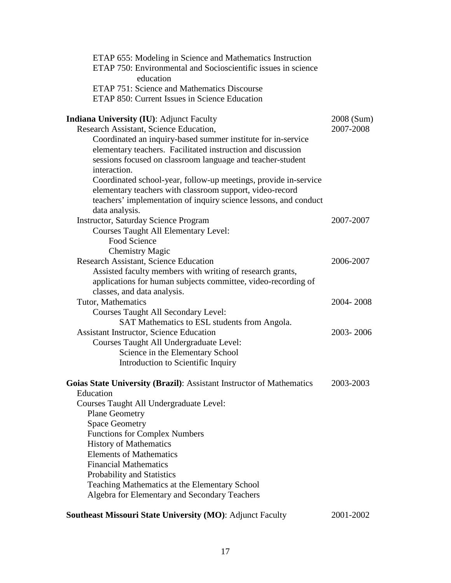| ETAP 655: Modeling in Science and Mathematics Instruction<br>ETAP 750: Environmental and Socioscientific issues in science<br>education |            |
|-----------------------------------------------------------------------------------------------------------------------------------------|------------|
| ETAP 751: Science and Mathematics Discourse                                                                                             |            |
| ETAP 850: Current Issues in Science Education                                                                                           |            |
| <b>Indiana University (IU): Adjunct Faculty</b>                                                                                         | 2008 (Sum) |
| Research Assistant, Science Education,                                                                                                  | 2007-2008  |
| Coordinated an inquiry-based summer institute for in-service                                                                            |            |
| elementary teachers. Facilitated instruction and discussion                                                                             |            |
| sessions focused on classroom language and teacher-student                                                                              |            |
| interaction.                                                                                                                            |            |
| Coordinated school-year, follow-up meetings, provide in-service                                                                         |            |
| elementary teachers with classroom support, video-record                                                                                |            |
| teachers' implementation of inquiry science lessons, and conduct                                                                        |            |
| data analysis.                                                                                                                          |            |
| <b>Instructor, Saturday Science Program</b>                                                                                             | 2007-2007  |
| <b>Courses Taught All Elementary Level:</b>                                                                                             |            |
| Food Science                                                                                                                            |            |
| <b>Chemistry Magic</b>                                                                                                                  |            |
| Research Assistant, Science Education                                                                                                   | 2006-2007  |
| Assisted faculty members with writing of research grants,                                                                               |            |
| applications for human subjects committee, video-recording of                                                                           |            |
| classes, and data analysis.                                                                                                             |            |
| Tutor, Mathematics                                                                                                                      | 2004-2008  |
| <b>Courses Taught All Secondary Level:</b>                                                                                              |            |
| SAT Mathematics to ESL students from Angola.                                                                                            |            |
| <b>Assistant Instructor, Science Education</b>                                                                                          | 2003-2006  |
| Courses Taught All Undergraduate Level:                                                                                                 |            |
| Science in the Elementary School                                                                                                        |            |
| Introduction to Scientific Inquiry                                                                                                      |            |
| Goias State University (Brazil): Assistant Instructor of Mathematics                                                                    | 2003-2003  |
| Education                                                                                                                               |            |
| Courses Taught All Undergraduate Level:                                                                                                 |            |
| <b>Plane Geometry</b>                                                                                                                   |            |
| <b>Space Geometry</b>                                                                                                                   |            |
| <b>Functions for Complex Numbers</b>                                                                                                    |            |
| <b>History of Mathematics</b>                                                                                                           |            |
| <b>Elements of Mathematics</b>                                                                                                          |            |
| <b>Financial Mathematics</b>                                                                                                            |            |
| Probability and Statistics                                                                                                              |            |
| Teaching Mathematics at the Elementary School                                                                                           |            |
| Algebra for Elementary and Secondary Teachers                                                                                           |            |
| Southeast Missouri State University (MO): Adjunct Faculty                                                                               | 2001-2002  |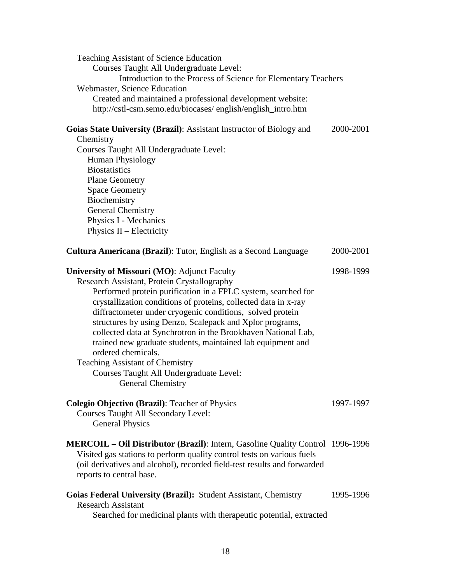| <b>Teaching Assistant of Science Education</b><br>Courses Taught All Undergraduate Level:<br>Introduction to the Process of Science for Elementary Teachers<br>Webmaster, Science Education<br>Created and maintained a professional development website:<br>http://cstl-csm.semo.edu/biocases/ english/english_intro.htm                                                                                                                                                                                                                                                                                                              |           |  |  |
|----------------------------------------------------------------------------------------------------------------------------------------------------------------------------------------------------------------------------------------------------------------------------------------------------------------------------------------------------------------------------------------------------------------------------------------------------------------------------------------------------------------------------------------------------------------------------------------------------------------------------------------|-----------|--|--|
| Goias State University (Brazil): Assistant Instructor of Biology and<br>Chemistry<br>Courses Taught All Undergraduate Level:<br>Human Physiology<br><b>Biostatistics</b><br><b>Plane Geometry</b><br><b>Space Geometry</b><br>Biochemistry<br><b>General Chemistry</b><br>Physics I - Mechanics<br>Physics II - Electricity                                                                                                                                                                                                                                                                                                            | 2000-2001 |  |  |
| <b>Cultura Americana (Brazil):</b> Tutor, English as a Second Language                                                                                                                                                                                                                                                                                                                                                                                                                                                                                                                                                                 | 2000-2001 |  |  |
| <b>University of Missouri (MO): Adjunct Faculty</b><br>Research Assistant, Protein Crystallography<br>Performed protein purification in a FPLC system, searched for<br>crystallization conditions of proteins, collected data in x-ray<br>diffractometer under cryogenic conditions, solved protein<br>structures by using Denzo, Scalepack and Xplor programs,<br>collected data at Synchrotron in the Brookhaven National Lab,<br>trained new graduate students, maintained lab equipment and<br>ordered chemicals.<br><b>Teaching Assistant of Chemistry</b><br>Courses Taught All Undergraduate Level:<br><b>General Chemistry</b> | 1998-1999 |  |  |
| <b>Colegio Objectivo (Brazil): Teacher of Physics</b><br><b>Courses Taught All Secondary Level:</b><br><b>General Physics</b>                                                                                                                                                                                                                                                                                                                                                                                                                                                                                                          | 1997-1997 |  |  |
| <b>MERCOIL – Oil Distributor (Brazil):</b> Intern, Gasoline Quality Control 1996-1996<br>Visited gas stations to perform quality control tests on various fuels<br>(oil derivatives and alcohol), recorded field-test results and forwarded<br>reports to central base.                                                                                                                                                                                                                                                                                                                                                                |           |  |  |
| Goias Federal University (Brazil): Student Assistant, Chemistry<br><b>Research Assistant</b><br>Searched for medicinal plants with therapeutic potential, extracted                                                                                                                                                                                                                                                                                                                                                                                                                                                                    | 1995-1996 |  |  |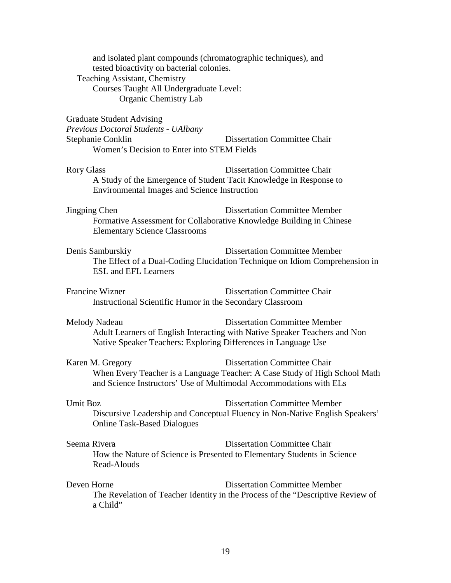| and isolated plant compounds (chromatographic techniques), and<br>tested bioactivity on bacterial colonies.<br><b>Teaching Assistant, Chemistry</b><br>Courses Taught All Undergraduate Level:<br>Organic Chemistry Lab |                                                                                                                         |  |
|-------------------------------------------------------------------------------------------------------------------------------------------------------------------------------------------------------------------------|-------------------------------------------------------------------------------------------------------------------------|--|
| <b>Graduate Student Advising</b><br><b>Previous Doctoral Students - UAlbany</b>                                                                                                                                         |                                                                                                                         |  |
| Stephanie Conklin<br>Women's Decision to Enter into STEM Fields                                                                                                                                                         | <b>Dissertation Committee Chair</b>                                                                                     |  |
| <b>Rory Glass</b><br>A Study of the Emergence of Student Tacit Knowledge in Response to<br><b>Environmental Images and Science Instruction</b>                                                                          | <b>Dissertation Committee Chair</b>                                                                                     |  |
| Jingping Chen<br>Formative Assessment for Collaborative Knowledge Building in Chinese<br><b>Elementary Science Classrooms</b>                                                                                           | <b>Dissertation Committee Member</b>                                                                                    |  |
| Denis Samburskiy<br><b>ESL</b> and <b>EFL</b> Learners                                                                                                                                                                  | <b>Dissertation Committee Member</b><br>The Effect of a Dual-Coding Elucidation Technique on Idiom Comprehension in     |  |
| Francine Wizner<br>Instructional Scientific Humor in the Secondary Classroom                                                                                                                                            | <b>Dissertation Committee Chair</b>                                                                                     |  |
| Melody Nadeau<br>Native Speaker Teachers: Exploring Differences in Language Use                                                                                                                                         | <b>Dissertation Committee Member</b><br>Adult Learners of English Interacting with Native Speaker Teachers and Non      |  |
| Karen M. Gregory<br>and Science Instructors' Use of Multimodal Accommodations with ELs                                                                                                                                  | <b>Dissertation Committee Chair</b><br>When Every Teacher is a Language Teacher: A Case Study of High School Math       |  |
| Umit Boz<br><b>Online Task-Based Dialogues</b>                                                                                                                                                                          | <b>Dissertation Committee Member</b><br>Discursive Leadership and Conceptual Fluency in Non-Native English Speakers'    |  |
| Seema Rivera<br>Read-Alouds                                                                                                                                                                                             | <b>Dissertation Committee Chair</b><br>How the Nature of Science is Presented to Elementary Students in Science         |  |
| Deven Horne<br>a Child"                                                                                                                                                                                                 | <b>Dissertation Committee Member</b><br>The Revelation of Teacher Identity in the Process of the "Descriptive Review of |  |
|                                                                                                                                                                                                                         |                                                                                                                         |  |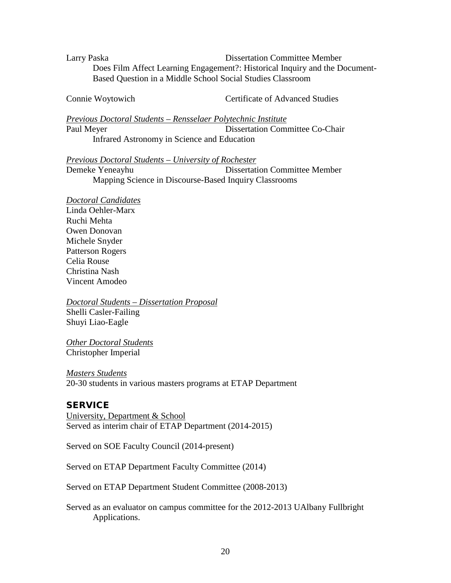Larry Paska Dissertation Committee Member Does Film Affect Learning Engagement?: Historical Inquiry and the Document-Based Question in a Middle School Social Studies Classroom

Connie Woytowich Certificate of Advanced Studies

*Previous Doctoral Students – Rensselaer Polytechnic Institute* Paul Meyer Dissertation Committee Co-Chair Infrared Astronomy in Science and Education

*Previous Doctoral Students – University of Rochester*

Demeke Yeneayhu Dissertation Committee Member Mapping Science in Discourse-Based Inquiry Classrooms

*Doctoral Candidates*

Linda Oehler-Marx Ruchi Mehta Owen Donovan Michele Snyder Patterson Rogers Celia Rouse Christina Nash Vincent Amodeo

*Doctoral Students – Dissertation Proposal* Shelli Casler-Failing Shuyi Liao-Eagle

*Other Doctoral Students* Christopher Imperial

*Masters Students* 20-30 students in various masters programs at ETAP Department

# **SERVICE**

University, Department & School Served as interim chair of ETAP Department (2014-2015)

Served on SOE Faculty Council (2014-present)

Served on ETAP Department Faculty Committee (2014)

Served on ETAP Department Student Committee (2008-2013)

Served as an evaluator on campus committee for the 2012-2013 UAlbany Fullbright Applications.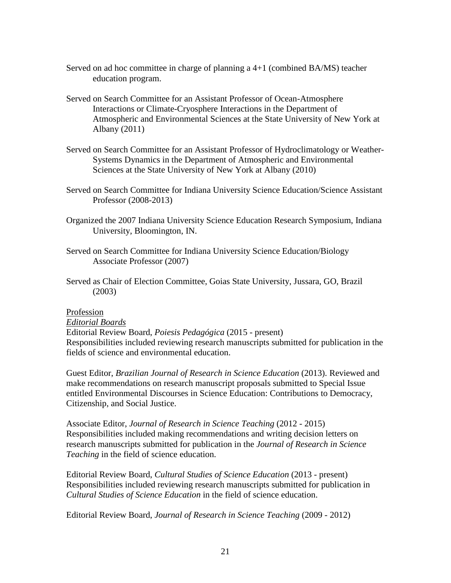- Served on ad hoc committee in charge of planning a 4+1 (combined BA/MS) teacher education program.
- Served on Search Committee for an Assistant Professor of Ocean-Atmosphere Interactions or Climate-Cryosphere Interactions in the Department of Atmospheric and Environmental Sciences at the State University of New York at Albany (2011)
- Served on Search Committee for an Assistant Professor of Hydroclimatology or Weather-Systems Dynamics in the Department of Atmospheric and Environmental Sciences at the State University of New York at Albany (2010)
- Served on Search Committee for Indiana University Science Education/Science Assistant Professor (2008-2013)
- Organized the 2007 Indiana University Science Education Research Symposium, Indiana University, Bloomington, IN.
- Served on Search Committee for Indiana University Science Education/Biology Associate Professor (2007)
- Served as Chair of Election Committee, Goias State University, Jussara, GO, Brazil (2003)

#### Profession

#### *Editorial Boards*

Editorial Review Board, *Poiesis Pedagógica* (2015 - present) Responsibilities included reviewing research manuscripts submitted for publication in the fields of science and environmental education.

Guest Editor, *Brazilian Journal of Research in Science Education* (2013). Reviewed and make recommendations on research manuscript proposals submitted to Special Issue entitled Environmental Discourses in Science Education: Contributions to Democracy, Citizenship, and Social Justice.

Associate Editor, *Journal of Research in Science Teaching* (2012 - 2015) Responsibilities included making recommendations and writing decision letters on research manuscripts submitted for publication in the *Journal of Research in Science Teaching* in the field of science education.

Editorial Review Board, *Cultural Studies of Science Education* (2013 - present) Responsibilities included reviewing research manuscripts submitted for publication in *Cultural Studies of Science Education* in the field of science education.

Editorial Review Board, *Journal of Research in Science Teaching* (2009 - 2012)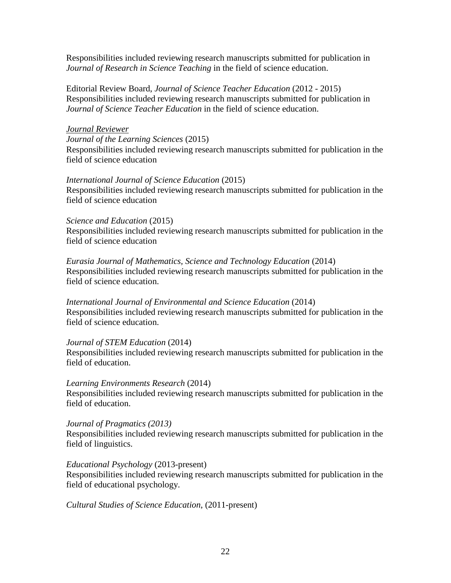Responsibilities included reviewing research manuscripts submitted for publication in *Journal of Research in Science Teaching* in the field of science education.

Editorial Review Board, *Journal of Science Teacher Education* (2012 - 2015) Responsibilities included reviewing research manuscripts submitted for publication in *Journal of Science Teacher Education* in the field of science education.

#### *Journal Reviewer*

*Journal of the Learning Sciences* (2015) Responsibilities included reviewing research manuscripts submitted for publication in the field of science education

#### *International Journal of Science Education* (2015)

Responsibilities included reviewing research manuscripts submitted for publication in the field of science education

#### *Science and Education* (2015)

Responsibilities included reviewing research manuscripts submitted for publication in the field of science education

#### *Eurasia Journal of Mathematics, Science and Technology Education* (2014) Responsibilities included reviewing research manuscripts submitted for publication in the field of science education.

*International Journal of Environmental and Science Education* (2014) Responsibilities included reviewing research manuscripts submitted for publication in the field of science education.

#### *Journal of STEM Education* (2014)

Responsibilities included reviewing research manuscripts submitted for publication in the field of education.

#### *Learning Environments Research* (2014)

Responsibilities included reviewing research manuscripts submitted for publication in the field of education.

#### *Journal of Pragmatics (2013)*

Responsibilities included reviewing research manuscripts submitted for publication in the field of linguistics.

#### *Educational Psychology* (2013-present)

Responsibilities included reviewing research manuscripts submitted for publication in the field of educational psychology.

*Cultural Studies of Science Education*, (2011-present)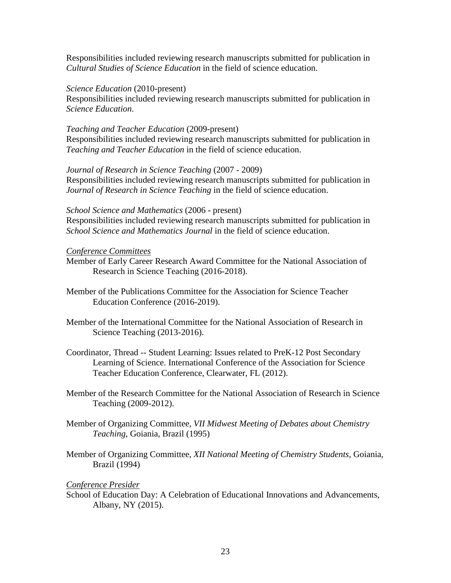Responsibilities included reviewing research manuscripts submitted for publication in *Cultural Studies of Science Education* in the field of science education.

*Science Education* (2010-present)

Responsibilities included reviewing research manuscripts submitted for publication in *Science Education*.

*Teaching and Teacher Education* (2009-present)

Responsibilities included reviewing research manuscripts submitted for publication in *Teaching and Teacher Education* in the field of science education.

*Journal of Research in Science Teaching* (2007 - 2009) Responsibilities included reviewing research manuscripts submitted for publication in *Journal of Research in Science Teaching* in the field of science education.

*School Science and Mathematics* (2006 - present)

Responsibilities included reviewing research manuscripts submitted for publication in *School Science and Mathematics Journal* in the field of science education.

*Conference Committees*

Member of Early Career Research Award Committee for the National Association of Research in Science Teaching (2016-2018).

- Member of the Publications Committee for the Association for Science Teacher Education Conference (2016-2019).
- Member of the International Committee for the National Association of Research in Science Teaching (2013-2016).
- Coordinator, Thread -- Student Learning: Issues related to PreK-12 Post Secondary Learning of Science. International Conference of the Association for Science Teacher Education Conference, Clearwater, FL (2012).
- Member of the Research Committee for the National Association of Research in Science Teaching (2009-2012).
- Member of Organizing Committee, *VII Midwest Meeting of Debates about Chemistry Teaching*, Goiania, Brazil (1995)
- Member of Organizing Committee, *XII National Meeting of Chemistry Students*, Goiania, Brazil (1994)

# *Conference Presider*

School of Education Day: A Celebration of Educational Innovations and Advancements, Albany, NY (2015).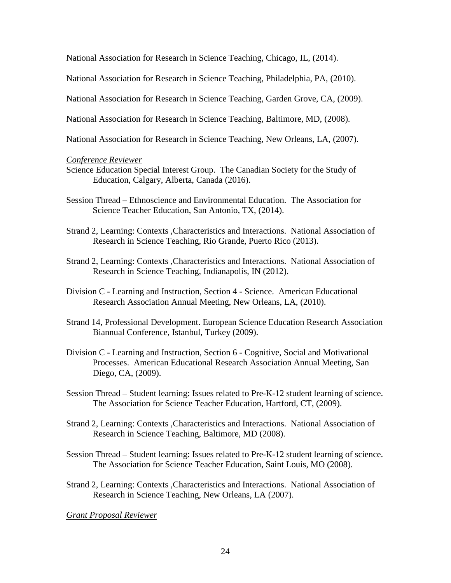National Association for Research in Science Teaching, Chicago, IL, (2014).

National Association for Research in Science Teaching, Philadelphia, PA, (2010).

National Association for Research in Science Teaching, Garden Grove, CA, (2009).

National Association for Research in Science Teaching, Baltimore, MD, (2008).

National Association for Research in Science Teaching, New Orleans, LA, (2007).

#### *Conference Reviewer*

- Science Education Special Interest Group. The Canadian Society for the Study of Education, Calgary, Alberta, Canada (2016).
- Session Thread Ethnoscience and Environmental Education. The Association for Science Teacher Education, San Antonio, TX, (2014).
- Strand 2, Learning: Contexts ,Characteristics and Interactions. National Association of Research in Science Teaching, Rio Grande, Puerto Rico (2013).
- Strand 2, Learning: Contexts ,Characteristics and Interactions. National Association of Research in Science Teaching, Indianapolis, IN (2012).
- Division C Learning and Instruction, Section 4 Science. American Educational Research Association Annual Meeting, New Orleans, LA, (2010).
- Strand 14, Professional Development. European Science Education Research Association Biannual Conference, Istanbul, Turkey (2009).
- Division C Learning and Instruction, Section 6 Cognitive, Social and Motivational Processes. American Educational Research Association Annual Meeting, San Diego, CA, (2009).
- Session Thread Student learning: Issues related to Pre-K-12 student learning of science. The Association for Science Teacher Education, Hartford, CT, (2009).
- Strand 2, Learning: Contexts ,Characteristics and Interactions. National Association of Research in Science Teaching, Baltimore, MD (2008).
- Session Thread Student learning: Issues related to Pre-K-12 student learning of science. The Association for Science Teacher Education, Saint Louis, MO (2008).
- Strand 2, Learning: Contexts ,Characteristics and Interactions. National Association of Research in Science Teaching, New Orleans, LA (2007).

*Grant Proposal Reviewer*